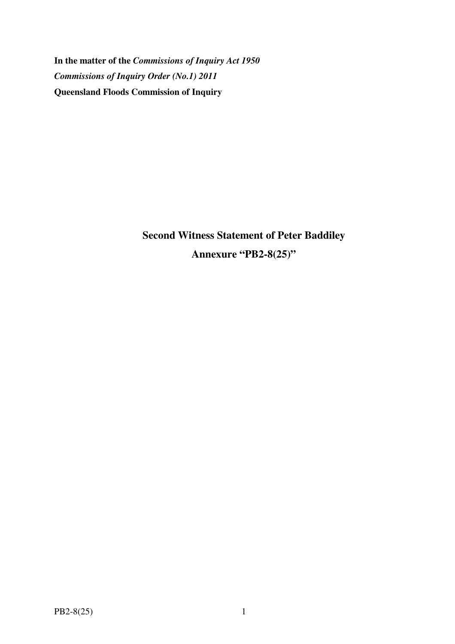**In the matter of the** *Commissions of Inquiry Act 1950 Commissions of Inquiry Order (No.1) 2011* **Queensland Floods Commission of Inquiry** 

> **Second Witness Statement of Peter Baddiley Annexure "PB2-8(25)"**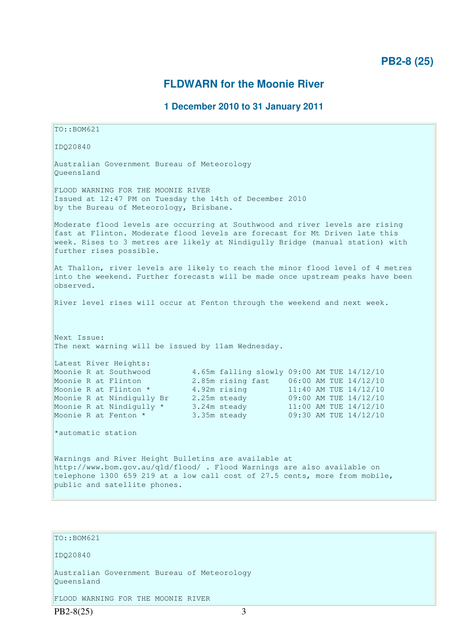## **FLDWARN for the Moonie River**

## **1 December 2010 to 31 January 2011**

TO::BOM621 IDQ20840 Australian Government Bureau of Meteorology Queensland FLOOD WARNING FOR THE MOONIE RIVER Issued at 12:47 PM on Tuesday the 14th of December 2010 by the Bureau of Meteorology, Brisbane. Moderate flood levels are occurring at Southwood and river levels are rising fast at Flinton. Moderate flood levels are forecast for Mt Driven late this week. Rises to 3 metres are likely at Nindigully Bridge (manual station) with further rises possible. At Thallon, river levels are likely to reach the minor flood level of 4 metres into the weekend. Further forecasts will be made once upstream peaks have been observed. River level rises will occur at Fenton through the weekend and next week. Next Issue: The next warning will be issued by 11am Wednesday. Latest River Heights: Moonie R at Southwood 4.65m falling slowly 09:00 AM TUE 14/12/10 Moonie R at Flinton 2.85m rising fast 06:00 AM TUE 14/12/10<br>Moonie R at Flinton \* 4.92m rising 11:40 AM TUE 14/12/10 Moonie R at Flinton \* 4.92m rising 11:40 AM TUE 14/12/10 Moonie R at Nindigully Br 2.25m steady 09:00 AM TUE 14/12/10 Moonie R at Nindigully  $\star$  3.24m steady 11:00 AM TUE 14/12/10 Moonie R at Fenton \* 3.35m steady 09:30 AM TUE 14/12/10 \*automatic station Warnings and River Height Bulletins are available at http://www.bom.gov.au/qld/flood/ . Flood Warnings are also available on telephone 1300 659 219 at a low call cost of 27.5 cents, more from mobile, public and satellite phones. TO::BOM621

IDQ20840

Australian Government Bureau of Meteorology Queensland

FLOOD WARNING FOR THE MOONIE RIVER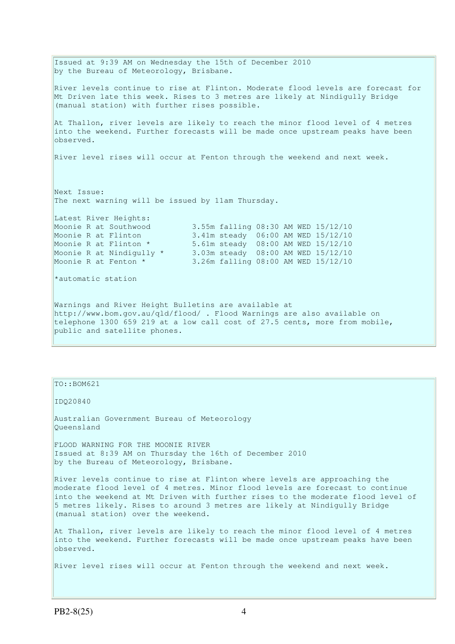Issued at 9:39 AM on Wednesday the 15th of December 2010 by the Bureau of Meteorology, Brisbane. River levels continue to rise at Flinton. Moderate flood levels are forecast for Mt Driven late this week. Rises to 3 metres are likely at Nindigully Bridge (manual station) with further rises possible. At Thallon, river levels are likely to reach the minor flood level of 4 metres into the weekend. Further forecasts will be made once upstream peaks have been observed. River level rises will occur at Fenton through the weekend and next week. Next Issue: The next warning will be issued by 11am Thursday. Latest River Heights:<br>Moonie R at Southwood 3.55m falling 08:30 AM WED 15/12/10 Moonie R at Flinton 3.41m steady 06:00 AM WED 15/12/10 Moonie R at Flinton \* 5.61m steady 08:00 AM WED 15/12/10 Moonie R at Nindigully \* 3.03m steady 08:00 AM WED 15/12/10 Moonie R at Fenton \* 3.26m falling 08:00 AM WED 15/12/10 \*automatic station Warnings and River Height Bulletins are available at http://www.bom.gov.au/qld/flood/ . Flood Warnings are also available on telephone 1300 659 219 at a low call cost of 27.5 cents, more from mobile, public and satellite phones.

TO::BOM621

IDQ20840

Australian Government Bureau of Meteorology Queensland

FLOOD WARNING FOR THE MOONIE RIVER Issued at 8:39 AM on Thursday the 16th of December 2010 by the Bureau of Meteorology, Brisbane.

River levels continue to rise at Flinton where levels are approaching the moderate flood level of 4 metres. Minor flood levels are forecast to continue into the weekend at Mt Driven with further rises to the moderate flood level of 5 metres likely. Rises to around 3 metres are likely at Nindigully Bridge (manual station) over the weekend.

At Thallon, river levels are likely to reach the minor flood level of 4 metres into the weekend. Further forecasts will be made once upstream peaks have been observed.

River level rises will occur at Fenton through the weekend and next week.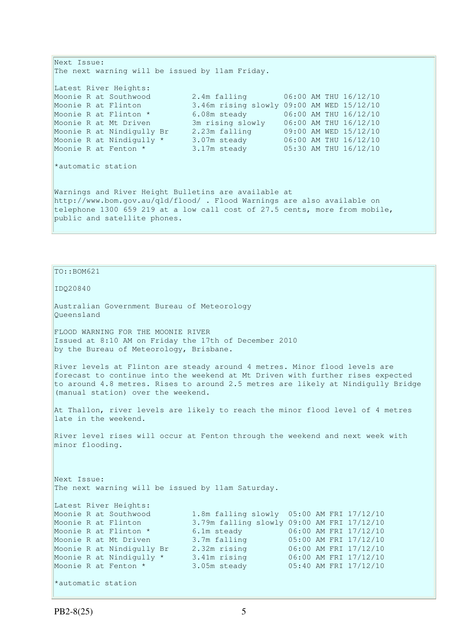```
Next Issue: 
The next warning will be issued by 11am Friday. 
Latest River Heights: 
Moonie R at Southwood 2.4m falling 06:00 AM THU 16/12/10<br>Moonie R at Flinton 3.46m rising slowly 09:00 AM WED 15/12/10
Moonie R at Flinton 3.46m rising slowly 09:00 AM WED 15/12/10 
Moonie R at Flinton * 6.08m steady 06:00 AM THU 16/12/10 
Moonie R at Mt Driven 3m rising slowly 06:00 AM THU 16/12/10 
Moonie R at Nindigully Br 2.23m falling 09:00 AM WED 15/12/10 
Moonie R at Nindigully * 3.07m steady 06:00 AM THU 16/12/10 
Moonie R at Fenton * 3.17m steady 05:30 AM THU 16/12/10 
*automatic station 
Warnings and River Height Bulletins are available at 
http://www.bom.gov.au/qld/flood/ . Flood Warnings are also available on 
telephone 1300 659 219 at a low call cost of 27.5 cents, more from mobile, 
public and satellite phones.
```

```
TO::BOM621
```
IDQ20840

Australian Government Bureau of Meteorology Queensland

FLOOD WARNING FOR THE MOONIE RIVER Issued at 8:10 AM on Friday the 17th of December 2010 by the Bureau of Meteorology, Brisbane.

River levels at Flinton are steady around 4 metres. Minor flood levels are forecast to continue into the weekend at Mt Driven with further rises expected to around 4.8 metres. Rises to around 2.5 metres are likely at Nindigully Bridge (manual station) over the weekend.

At Thallon, river levels are likely to reach the minor flood level of 4 metres late in the weekend.

River level rises will occur at Fenton through the weekend and next week with minor flooding.

Next Issue: The next warning will be issued by 11am Saturday.

Latest River Heights:<br>Moonie R at Southwood Moonie R at Southwood 1.8m falling slowly 05:00 AM FRI 17/12/10 Moonie R at Flinton 3.79m falling slowly 09:00 AM FRI 17/12/10 Moonie R at Flinton \* 6.1m steady 06:00 AM FRI 17/12/10 Moonie R at Mt Driven 3.7m falling 05:00 AM FRI 17/12/10 Moonie R at Nindigully Br 2.32m rising 06:00 AM FRI 17/12/10 Moonie R at Nindigully \* 3.41m rising 06:00 AM FRI 17/12/10 Moonie R at Fenton \* 3.05m steady 05:40 AM FRI 17/12/10 \*automatic station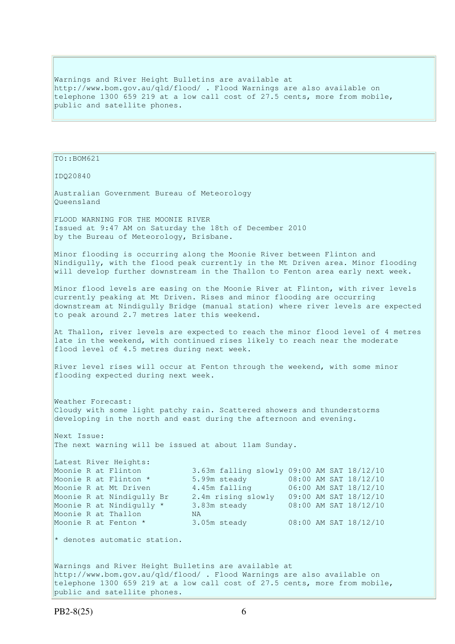Warnings and River Height Bulletins are available at http://www.bom.gov.au/qld/flood/ . Flood Warnings are also available on telephone 1300 659 219 at a low call cost of 27.5 cents, more from mobile, public and satellite phones.

```
TO::BOM621 
IDQ20840 
Australian Government Bureau of Meteorology 
Queensland 
FLOOD WARNING FOR THE MOONIE RIVER 
Issued at 9:47 AM on Saturday the 18th of December 2010 
by the Bureau of Meteorology, Brisbane.
Minor flooding is occurring along the Moonie River between Flinton and 
Nindigully, with the flood peak currently in the Mt Driven area. Minor flooding
will develop further downstream in the Thallon to Fenton area early next week.
Minor flood levels are easing on the Moonie River at Flinton, with river levels
currently peaking at Mt Driven. Rises and minor flooding are occurring 
downstream at Nindigully Bridge (manual station) where river levels are expected 
to peak around 2.7 metres later this weekend. 
At Thallon, river levels are expected to reach the minor flood level of 4 metres 
late in the weekend, with continued rises likely to reach near the moderate 
flood level of 4.5 metres during next week. 
River level rises will occur at Fenton through the weekend, with some minor 
flooding expected during next week. 
Weather Forecast: 
Cloudy with some light patchy rain. Scattered showers and thunderstorms 
developing in the north and east during the afternoon and evening. 
Next Issue: 
The next warning will be issued at about 11am Sunday. 
Latest River Heights: 
Moonie R at Flinton 3.63m falling slowly 09:00 AM SAT 18/12/10<br>
Moonie R at Mt Driven 4.45m falling 06:00 AM SAT 18/12/10<br>
Moonie R at Nindiaully Br 3.4m minister 19/12/10
Moonie R at Flinton * 5.99m steady 08:00 AM SAT 18/12/10 
Moonie R at Mt Driven 4.45m falling 06:00 AM SAT 18/12/10 
Moonie R at Nindigully Br 2.4m rising slowly 09:00 AM SAT 18/12/10 
Moonie R at Nindigully * 3.83m steady 08:00 AM SAT 18/12/10 
Moonie R at Thallon NA
Moonie R at Fenton * 3.05m steady 08:00 AM SAT 18/12/10
* denotes automatic station.
Warnings and River Height Bulletins are available at 
http://www.bom.gov.au/qld/flood/ . Flood Warnings are also available on 
telephone 1300 659 219 at a low call cost of 27.5 cents, more from mobile, 
public and satellite phones.
```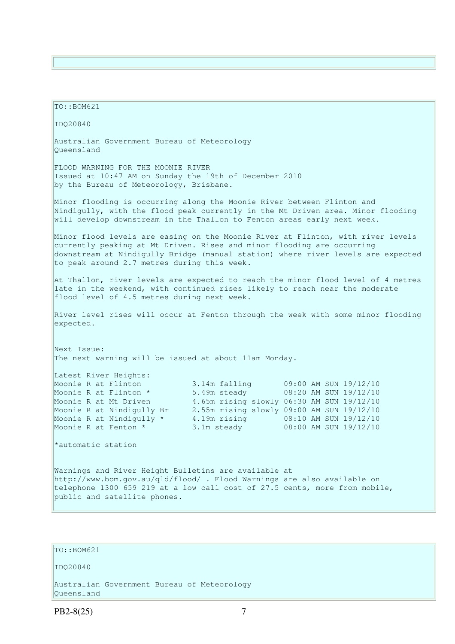TO::BOM621 IDQ20840 Australian Government Bureau of Meteorology Queensland FLOOD WARNING FOR THE MOONIE RIVER Issued at 10:47 AM on Sunday the 19th of December 2010 by the Bureau of Meteorology, Brisbane. Minor flooding is occurring along the Moonie River between Flinton and Nindigully, with the flood peak currently in the Mt Driven area. Minor flooding will develop downstream in the Thallon to Fenton areas early next week. Minor flood levels are easing on the Moonie River at Flinton, with river levels currently peaking at Mt Driven. Rises and minor flooding are occurring downstream at Nindigully Bridge (manual station) where river levels are expected to peak around 2.7 metres during this week. At Thallon, river levels are expected to reach the minor flood level of 4 metres late in the weekend, with continued rises likely to reach near the moderate flood level of 4.5 metres during next week. River level rises will occur at Fenton through the week with some minor flooding expected. Next Issue: The next warning will be issued at about 11am Monday. Latest River Heights: Moonie R at Flinton 3.14m falling 09:00 AM SUN 19/12/10 Moonie R at Flinton \* 5.49m steady 08:20 AM SUN 19/12/10<br>Moonie R at Mt Driven 4.65m rising slowly 06:30 AM SUN 19/12/10 4.65m rising slowly 06:30 AM SUN 19/12/10 Moonie R at Nindigully Br 2.55m rising slowly 09:00 AM SUN 19/12/10 Moonie R at Nindigully \* 4.19m rising 08:10 AM SUN 19/12/10 Moonie R at Fenton \* 3.1m steady 08:00 AM SUN 19/12/10 \*automatic station Warnings and River Height Bulletins are available at http://www.bom.gov.au/qld/flood/ . Flood Warnings are also available on telephone 1300 659 219 at a low call cost of 27.5 cents, more from mobile, public and satellite phones.

### TO::BOM621

#### IDQ20840

Australian Government Bureau of Meteorology Queensland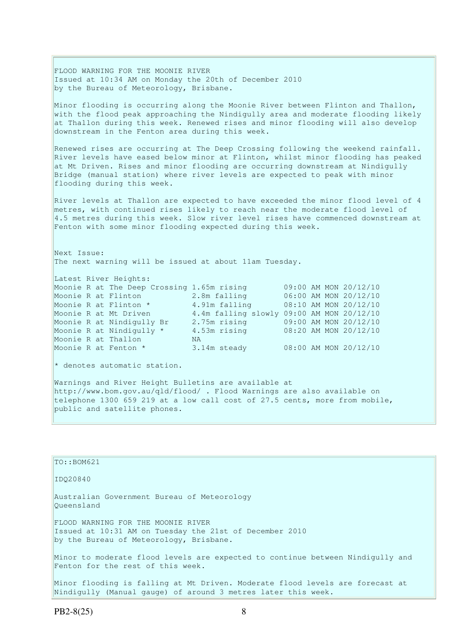FLOOD WARNING FOR THE MOONIE RIVER Issued at 10:34 AM on Monday the 20th of December 2010 by the Bureau of Meteorology, Brisbane. Minor flooding is occurring along the Moonie River between Flinton and Thallon, with the flood peak approaching the Nindigully area and moderate flooding likely at Thallon during this week. Renewed rises and minor flooding will also develop downstream in the Fenton area during this week. Renewed rises are occurring at The Deep Crossing following the weekend rainfall. River levels have eased below minor at Flinton, whilst minor flooding has peaked at Mt Driven. Rises and minor flooding are occurring downstream at Nindigully Bridge (manual station) where river levels are expected to peak with minor flooding during this week. River levels at Thallon are expected to have exceeded the minor flood level of 4 metres, with continued rises likely to reach near the moderate flood level of 4.5 metres during this week. Slow river level rises have commenced downstream at Fenton with some minor flooding expected during this week. Next Issue: The next warning will be issued at about 11am Tuesday. Latest River Heights: Moonie R at The Deep Crossing 1.65m rising 09:00 AM MON 20/12/10 Moonie R at Flinton 2.8m falling 06:00 AM MON 20/12/10 Moonie R at Flinton \* 4.91m falling 08:10 AM MON 20/12/10 Moonie R at Mt Driven 4.4m falling slowly 09:00 AM MON 20/12/10 Moonie R at Nindigully Br 2.75m rising 09:00 AM MON 20/12/10 Moonie R at Nindigully \* 4.53m rising 08:20 AM MON 20/12/10 Moonie R at Thallon NA Moonie R at Fenton \* 3.14m steady 08:00 AM MON 20/12/10  $*$  denotes automatic station. Warnings and River Height Bulletins are available at http://www.bom.gov.au/qld/flood/ . Flood Warnings are also available on telephone 1300 659 219 at a low call cost of 27.5 cents, more from mobile, public and satellite phones.

| $TO: BOM621$                                                                                                                                   |
|------------------------------------------------------------------------------------------------------------------------------------------------|
| ID020840                                                                                                                                       |
| Australian Government Bureau of Meteorology<br>Oueensland                                                                                      |
| FLOOD WARNING FOR THE MOONIE RIVER<br>Issued at 10:31 AM on Tuesday the 21st of December 2010<br>by the Bureau of Meteorology, Brisbane.       |
| Minor to moderate flood levels are expected to continue between Nindigully and<br>Fenton for the rest of this week.                            |
| Minor flooding is falling at Mt Driven. Moderate flood levels are forecast at<br>Nindigully (Manual gauge) of around 3 metres later this week. |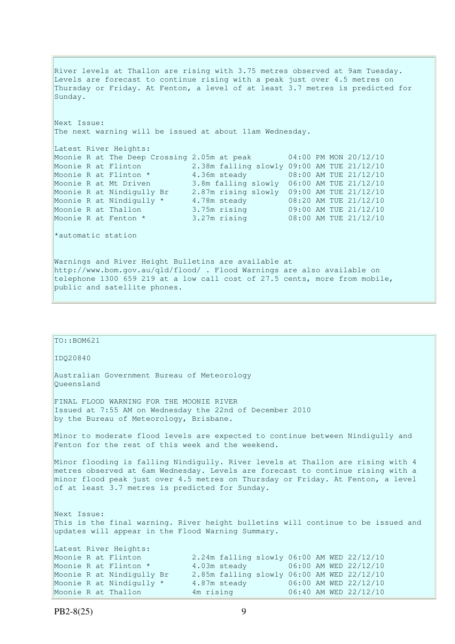River levels at Thallon are rising with 3.75 metres observed at 9am Tuesday. Levels are forecast to continue rising with a peak just over 4.5 metres on Thursday or Friday. At Fenton, a level of at least 3.7 metres is predicted for Sunday. Next Issue: The next warning will be issued at about 11am Wednesday. Latest River Heights: Moonie R at The Deep Crossing 2.05m at peak 04:00 PM MON 20/12/10 Moonie R at Flinton 2.38m falling slowly 09:00 AM TUE 21/12/10 Moonie R at Flinton \* 4.36m steady 08:00 AM TUE 21/12/10 Moonie R at Mt Driven 3.8m falling slowly 06:00 AM TUE 21/12/10 Moonie R at Nindigully Br 2.87m rising slowly 09:00 AM TUE 21/12/10 Moonie R at Nindigully \* 4.78m steady 08:20 AM TUE 21/12/10 Moonie R at Thallon 3.75m rising 09:00 AM TUE 21/12/10 Moonie R at Fenton \* 3.27m rising 08:00 AM TUE 21/12/10 \*automatic station Warnings and River Height Bulletins are available at http://www.bom.gov.au/qld/flood/ . Flood Warnings are also available on telephone 1300 659 219 at a low call cost of 27.5 cents, more from mobile, public and satellite phones.

| $TO: BOM621$                                                                                                                                          |                                                                                                                                                                                                                                                       |
|-------------------------------------------------------------------------------------------------------------------------------------------------------|-------------------------------------------------------------------------------------------------------------------------------------------------------------------------------------------------------------------------------------------------------|
| ID020840                                                                                                                                              |                                                                                                                                                                                                                                                       |
| Australian Government Bureau of Meteorology<br>Oueensland                                                                                             |                                                                                                                                                                                                                                                       |
| FINAL FLOOD WARNING FOR THE MOONIE RIVER<br>Issued at 7:55 AM on Wednesday the 22nd of December 2010<br>by the Bureau of Meteorology, Brisbane.       |                                                                                                                                                                                                                                                       |
| Fenton for the rest of this week and the weekend.                                                                                                     | Minor to moderate flood levels are expected to continue between Nindigully and                                                                                                                                                                        |
| of at least 3.7 metres is predicted for Sunday.                                                                                                       | Minor flooding is falling Nindigully. River levels at Thallon are rising with 4<br>metres observed at 6am Wednesday. Levels are forecast to continue rising with a<br>minor flood peak just over 4.5 metres on Thursday or Friday. At Fenton, a level |
| Next Issue:<br>updates will appear in the Flood Warning Summary.                                                                                      | This is the final warning. River height bulletins will continue to be issued and                                                                                                                                                                      |
| Latest River Heights:<br>Moonie R at Flinton<br>Moonie R at Flinton *<br>Moonie R at Nindigully Br<br>Moonie R at Nindigully *<br>Moonie R at Thallon | 2.24m falling slowly 06:00 AM WED 22/12/10<br>4.03m steady 06:00 AM WED 22/12/10<br>2.85m falling slowly 06:00 AM WED 22/12/10<br>4.87m steady 06:00 AM WED 22/12/10<br>4m rising<br>06:40 AM WED 22/12/10                                            |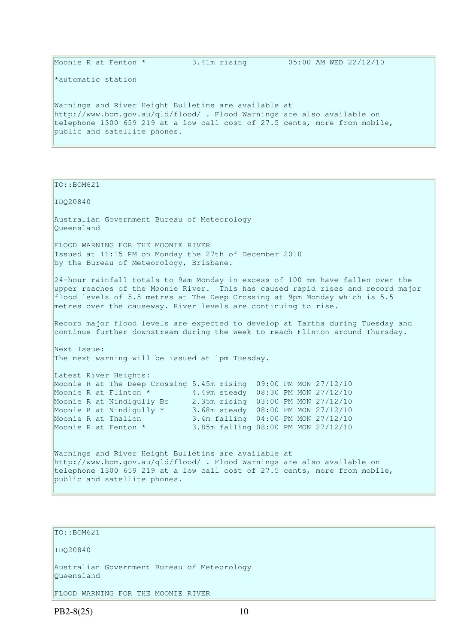\*automatic station

Warnings and River Height Bulletins are available at http://www.bom.gov.au/qld/flood/ . Flood Warnings are also available on telephone 1300 659 219 at a low call cost of 27.5 cents, more from mobile, public and satellite phones.

TO::BOM621

IDQ20840

Australian Government Bureau of Meteorology Queensland

FLOOD WARNING FOR THE MOONIE RIVER Issued at 11:15 PM on Monday the 27th of December 2010 by the Bureau of Meteorology, Brisbane.

24-hour rainfall totals to 9am Monday in excess of 100 mm have fallen over the upper reaches of the Moonie River. This has caused rapid rises and record major flood levels of 5.5 metres at The Deep Crossing at 9pm Monday which is 5.5 metres over the causeway. River levels are continuing to rise.

Record major flood levels are expected to develop at Tartha during Tuesday and continue further downstream during the week to reach Flinton around Thursday.

Next Issue: The next warning will be issued at 1pm Tuesday.

Latest River Heights: Moonie R at The Deep Crossing 5.45m rising 09:00 PM MON 27/12/10 Moonie R at Flinton \*  $4.49$ m steady 08:30 PM MON 27/12/10 Moonie R at Nindigully Br 2.35m rising 03:00 PM MON 27/12/10<br>Moonie R at Nindigully \* 3.68m steady 08:00 PM MON 27/12/10<br>Moonie R at Thallon 3.68m steady 08:00 PM MON 27/12/10 Moonie R at Thallon 3.4m falling 04:00 PM MON 27/12/10 Moonie R at Fenton \* 3.85m falling 08:00 PM MON 27/12/10

Warnings and River Height Bulletins are available at http://www.bom.gov.au/qld/flood/ . Flood Warnings are also available on telephone 1300 659 219 at a low call cost of 27.5 cents, more from mobile, public and satellite phones.

```
TO::BOM621 
IDQ20840 
Australian Government Bureau of Meteorology 
Queensland 
FLOOD WARNING FOR THE MOONIE RIVER
```
 $PB2-8(25)$  10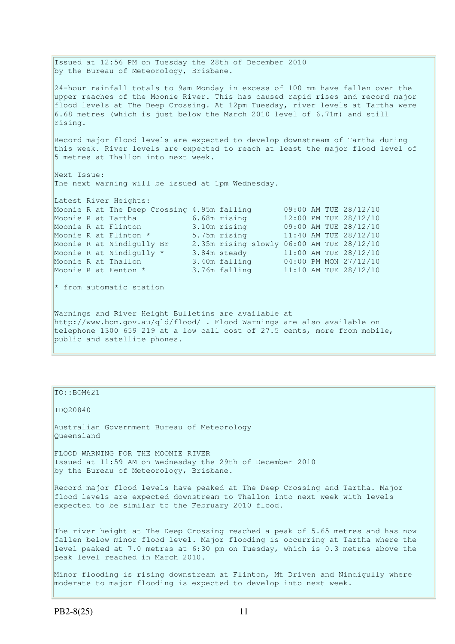Issued at 12:56 PM on Tuesday the 28th of December 2010 by the Bureau of Meteorology, Brisbane. 24-hour rainfall totals to 9am Monday in excess of 100 mm have fallen over the upper reaches of the Moonie River. This has caused rapid rises and record major flood levels at The Deep Crossing. At 12pm Tuesday, river levels at Tartha were 6.68 metres (which is just below the March 2010 level of 6.71m) and still rising. Record major flood levels are expected to develop downstream of Tartha during this week. River levels are expected to reach at least the major flood level of 5 metres at Thallon into next week. Next Issue: The next warning will be issued at 1pm Wednesday. Latest River Heights: Moonie R at The Deep Crossing 4.95m falling 09:00 AM TUE 28/12/10<br>Moonie R at Tartha 6.68m rising 12:00 PM TUE 28/12/10 Moonie R at Tartha 6.68m rising 12:00 PM TUE 28/12/10 Moonie R at Flinton 3.10m rising 09:00 AM TUE 28/12/10 Moonie R at Flinton \* 5.75m rising 11:40 AM TUE 28/12/10 Moonie R at Nindigully Br 2.35m rising slowly 06:00 AM TUE 28/12/10 Moonie R at Nindigully  $\star$  3.84m steady 11:00 AM TUE 28/12/10 Moonie R at Thallon 3.40m falling 04:00 PM MON 27/12/10 Moonie R at Fenton \* 3.76m falling 11:10 AM TUE 28/12/10  $*$  from automatic station Warnings and River Height Bulletins are available at http://www.bom.gov.au/qld/flood/ . Flood Warnings are also available on telephone 1300 659 219 at a low call cost of 27.5 cents, more from mobile, public and satellite phones.

#### TO::BOM621

IDQ20840

Australian Government Bureau of Meteorology Queensland

FLOOD WARNING FOR THE MOONIE RIVER Issued at 11:59 AM on Wednesday the 29th of December 2010 by the Bureau of Meteorology, Brisbane.

Record major flood levels have peaked at The Deep Crossing and Tartha. Major flood levels are expected downstream to Thallon into next week with levels expected to be similar to the February 2010 flood.

The river height at The Deep Crossing reached a peak of 5.65 metres and has now fallen below minor flood level. Major flooding is occurring at Tartha where the level peaked at 7.0 metres at 6:30 pm on Tuesday, which is 0.3 metres above the peak level reached in March 2010.

Minor flooding is rising downstream at Flinton, Mt Driven and Nindigully where moderate to major flooding is expected to develop into next week.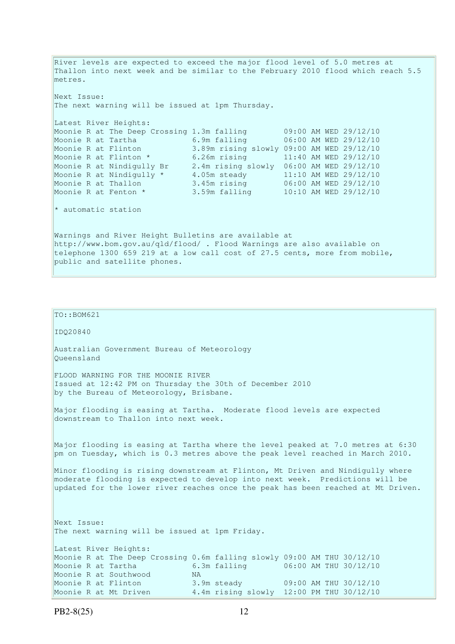River levels are expected to exceed the major flood level of 5.0 metres at Thallon into next week and be similar to the February 2010 flood which reach 5.5 metres. Next Issue: The next warning will be issued at 1pm Thursday. Latest River Heights: Moonie R at The Deep Crossing 1.3m falling 09:00 AM WED 29/12/10 Moonie R at Tartha 6.9m falling 06:00 AM WED 29/12/10 Moonie R at Flinton 3.89m rising slowly 09:00 AM WED 29/12/10 Moonie R at Flinton \* 6.26m rising 11:40 AM WED 29/12/10 Moonie R at Nindigully Br 2.4m rising slowly 06:00 AM WED 29/12/10 Moonie R at Nindigully  $\star$  4.05m steady 11:10 AM WED 29/12/10 Moonie R at Thallon 3.45m rising 06:00 AM WED 29/12/10 Moonie R at Fenton \* 3.59m falling 10:10 AM WED 29/12/10 \* automatic station Warnings and River Height Bulletins are available at http://www.bom.gov.au/qld/flood/ . Flood Warnings are also available on telephone 1300 659 219 at a low call cost of 27.5 cents, more from mobile, public and satellite phones.

```
IDQ20840 
Australian Government Bureau of Meteorology 
Queensland 
FLOOD WARNING FOR THE MOONIE RIVER 
Issued at 12:42 PM on Thursday the 30th of December 2010 
by the Bureau of Meteorology, Brisbane.
Major flooding is easing at Tartha. Moderate flood levels are expected 
downstream to Thallon into next week. 
Major flooding is easing at Tartha where the level peaked at 7.0 metres at 6:30 
pm on Tuesday, which is 0.3 metres above the peak level reached in March 2010. 
Minor flooding is rising downstream at Flinton, Mt Driven and Nindigully where 
moderate flooding is expected to develop into next week. Predictions will be 
updated for the lower river reaches once the peak has been reached at Mt Driven. 
Next Issue: 
The next warning will be issued at 1pm Friday. 
Latest River Heights: 
Moonie R at The Deep Crossing 0.6m falling slowly 09:00 AM THU 30/12/10 
                              6.3m falling 06:00 AM THU 30/12/10
Moonie R at Southwood MA
Moonie R at Flinton 3.9m steady 09:00 AM THU 30/12/10 
Moonie R at Flinton 3.9m steady 09:00 AM THU 30/12/10<br>Moonie R at Mt Driven 4.4m rising slowly 12:00 PM THU 30/12/10
```
 $\vert$ TO::BOM621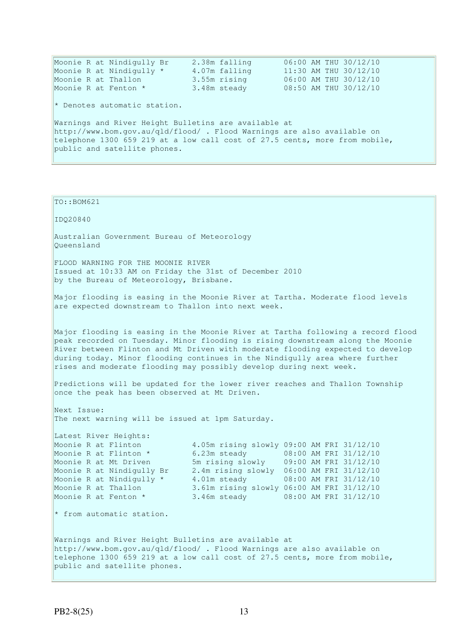Moonie R at Nindigully Br 2.38m falling 06:00 AM THU 30/12/10 Moonie R at Nindigully \* 4.07m falling 11:30 AM THU 30/12/10 Moonie R at Thallon 3.55m rising 06:00 AM THU 30/12/10 Moonie R at Fenton \* 3.48m steady 08:50 AM THU 30/12/10  $*$  Denotes automatic station. Warnings and River Height Bulletins are available at http://www.bom.gov.au/qld/flood/ . Flood Warnings are also available on telephone 1300 659 219 at a low call cost of 27.5 cents, more from mobile, public and satellite phones.

 $TO::BOM621$ 

IDQ20840

Australian Government Bureau of Meteorology Queensland

FLOOD WARNING FOR THE MOONIE RIVER Issued at 10:33 AM on Friday the 31st of December 2010 by the Bureau of Meteorology, Brisbane.

Major flooding is easing in the Moonie River at Tartha. Moderate flood levels are expected downstream to Thallon into next week.

Major flooding is easing in the Moonie River at Tartha following a record flood peak recorded on Tuesday. Minor flooding is rising downstream along the Moonie River between Flinton and Mt Driven with moderate flooding expected to develop during today. Minor flooding continues in the Nindigully area where further rises and moderate flooding may possibly develop during next week.

Predictions will be updated for the lower river reaches and Thallon Township once the peak has been observed at Mt Driven.

Next Issue: The next warning will be issued at 1pm Saturday.

Latest River Heights:

Moonie R at Flinton 4.05m rising slowly 09:00 AM FRI 31/12/10 Moonie R at Flinton \* 6.23m steady 08:00 AM FRI 31/12/10 Moonie R at Mt Driven 5m rising slowly 09:00 AM FRI 31/12/10 Moonie R at Nindigully Br 2.4m rising slowly 06:00 AM FRI 31/12/10 Moonie R at Nindigully \* 4.01m steady 08:00 AM FRI 31/12/10 Moonie R at Thallon 3.61m rising slowly 06:00 AM FRI 31/12/10 Moonie R at Fenton \* 3.46m steady 08:00 AM FRI 31/12/10

\* from automatic station.

Warnings and River Height Bulletins are available at http://www.bom.gov.au/qld/flood/ . Flood Warnings are also available on telephone 1300 659 219 at a low call cost of 27.5 cents, more from mobile, public and satellite phones.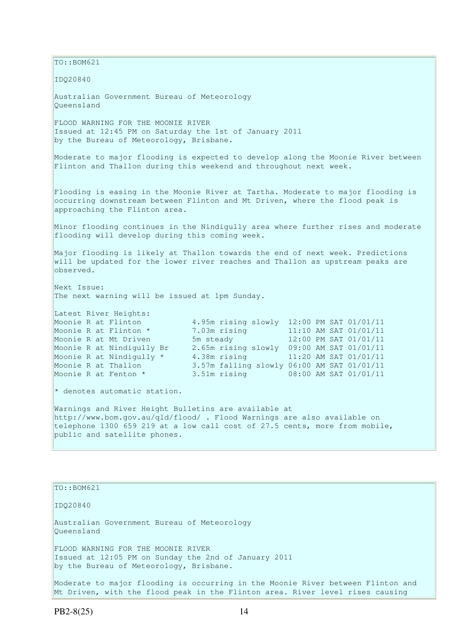TO::BOM621 IDQ20840 Australian Government Bureau of Meteorology Queensland FLOOD WARNING FOR THE MOONIE RIVER Issued at 12:45 PM on Saturday the 1st of January 2011 by the Bureau of Meteorology, Brisbane. Moderate to major flooding is expected to develop along the Moonie River between Flinton and Thallon during this weekend and throughout next week. Flooding is easing in the Moonie River at Tartha. Moderate to major flooding is occurring downstream between Flinton and Mt Driven, where the flood peak is approaching the Flinton area. Minor flooding continues in the Nindigully area where further rises and moderate flooding will develop during this coming week. Major flooding is likely at Thallon towards the end of next week. Predictions will be updated for the lower river reaches and Thallon as upstream peaks are observed. Next Issue: The next warning will be issued at 1pm Sunday. Latest River Heights: Moonie R at Flinton 4.95m rising slowly 12:00 PM SAT 01/01/11 Moonie R at Flinton \* 7.03m rising 11:10 AM SAT 01/01/11<br>Moonie P at Mt Driven 5m steady 12:00 PM SAT 01/01/11 Moonie R at Mt Driven 5m steady 12:00 PM SAT 01/01/11 Moonie R at Nindigully Br 2.65m rising slowly 09:00 AM SAT 01/01/11 Moonie R at Nindigully \* 4.38m rising 11:20 AM SAT 01/01/11 Moonie R at Thallon 3.57m falling slowly 06:00 AM SAT 01/01/11<br>Moonie R at Fenton \* 3.51m rising 08:00 AM SAT 01/01/11 3.51m rising 08:00 AM SAT 01/01/11 \* denotes automatic station. Warnings and River Height Bulletins are available at http://www.bom.gov.au/qld/flood/ . Flood Warnings are also available on telephone 1300 659 219 at a low call cost of 27.5 cents, more from mobile, public and satellite phones. TO::BOM621

IDQ20840

Australian Government Bureau of Meteorology Queensland FLOOD WARNING FOR THE MOONIE RIVER Issued at 12:05 PM on Sunday the 2nd of January 2011 by the Bureau of Meteorology, Brisbane.

Moderate to major flooding is occurring in the Moonie River between Flinton and Mt Driven, with the flood peak in the Flinton area. River level rises causing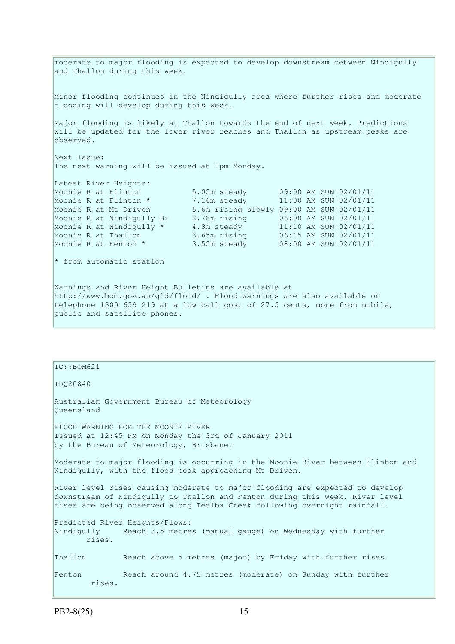moderate to major flooding is expected to develop downstream between Nindigully and Thallon during this week. Minor flooding continues in the Nindigully area where further rises and moderate flooding will develop during this week. Major flooding is likely at Thallon towards the end of next week. Predictions will be updated for the lower river reaches and Thallon as upstream peaks are observed. Next Issue: The next warning will be issued at 1pm Monday. Latest River Heights:<br>Moonie R at Flinton Moonie R at Flinton 5.05m steady 09:00 AM SUN 02/01/11 Moonie R at Flinton \* 7.16m steady 11:00 AM SUN 02/01/11 Moonie R at Mt Driven 5.6m rising slowly 09:00 AM SUN 02/01/11 Moonie R at Nindigully Br 2.78m rising 06:00 AM SUN 02/01/11 Moonie R at Nindigully \* 4.8m steady 11:10 AM SUN 02/01/11 Moonie R at Thallon 3.65m rising 06:15 AM SUN 02/01/11 Moonie R at Fenton \* 3.55m steady 08:00 AM SUN 02/01/11 \* from automatic station Warnings and River Height Bulletins are available at http://www.bom.gov.au/qld/flood/ . Flood Warnings are also available on telephone 1300 659 219 at a low call cost of 27.5 cents, more from mobile,

# $TO::BOM621$ IDQ20840 Australian Government Bureau of Meteorology Queensland FLOOD WARNING FOR THE MOONIE RIVER Issued at 12:45 PM on Monday the 3rd of January 2011 by the Bureau of Meteorology, Brisbane. Moderate to major flooding is occurring in the Moonie River between Flinton and Nindigully, with the flood peak approaching Mt Driven. River level rises causing moderate to major flooding are expected to develop downstream of Nindigully to Thallon and Fenton during this week. River level rises are being observed along Teelba Creek following overnight rainfall. Predicted River Heights/Flows: Nindigully Reach 3.5 metres (manual gauge) on Wednesday with further rises. Thallon Reach above 5 metres (major) by Friday with further rises. Fenton Reach around 4.75 metres (moderate) on Sunday with further rises.

public and satellite phones.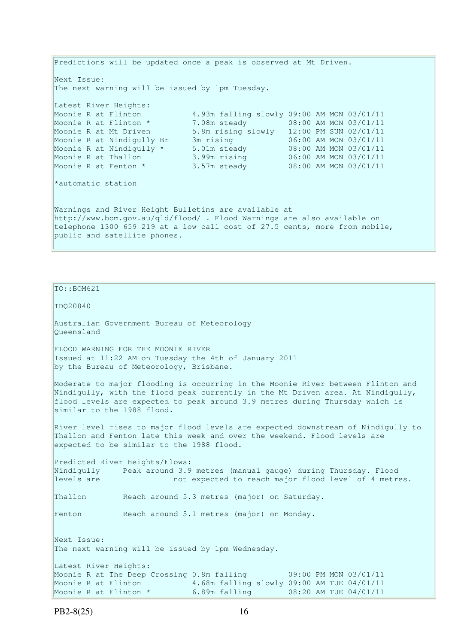Predictions will be updated once a peak is observed at Mt Driven. Next Issue: The next warning will be issued by 1pm Tuesday. Latest River Heights: Moonie R at Flinton 4.93m falling slowly 09:00 AM MON 03/01/11 Moonie R at Flinton \* 7.08m steady 08:00 AM MON 03/01/11 Moonie R at Mt Driven 5.8m rising slowly 12:00 PM SUN 02/01/11 Moonie R at Nindigully Br 3m rising 06:00 AM MON 03/01/11 Moonie R at Nindigully \* 5.01m steady 08:00 AM MON 03/01/11 Moonie R at Thallon 3.99m rising 06:00 AM MON 03/01/11 Moonie R at Fenton \* 3.57m steady 08:00 AM MON 03/01/11 \*automatic station Warnings and River Height Bulletins are available at http://www.bom.gov.au/qld/flood/ . Flood Warnings are also available on telephone 1300 659 219 at a low call cost of 27.5 cents, more from mobile, public and satellite phones.

PB2-8(25) 16  $TO::BOM621$ IDQ20840 Australian Government Bureau of Meteorology Queensland FLOOD WARNING FOR THE MOONIE RIVER Issued at 11:22 AM on Tuesday the 4th of January 2011 by the Bureau of Meteorology, Brisbane. Moderate to major flooding is occurring in the Moonie River between Flinton and Nindigully, with the flood peak currently in the Mt Driven area. At Nindigully, flood levels are expected to peak around 3.9 metres during Thursday which is similar to the 1988 flood. River level rises to major flood levels are expected downstream of Nindigully to Thallon and Fenton late this week and over the weekend. Flood levels are expected to be similar to the 1988 flood. Predicted River Heights/Flows: Nindigully Peak around 3.9 metres (manual gauge) during Thursday. Flood levels are not expected to reach major flood level of 4 metres. Thallon Reach around 5.3 metres (major) on Saturday. Fenton Reach around 5.1 metres (major) on Monday. Next Issue: The next warning will be issued by 1pm Wednesday. Latest River Heights: Moonie R at The Deep Crossing 0.8m falling 09:00 PM MON 03/01/11 Moonie R at Flinton 4.68m falling slowly 09:00 AM TUE 04/01/11 Moonie R at Flinton \* 6.89m falling 08:20 AM TUE 04/01/11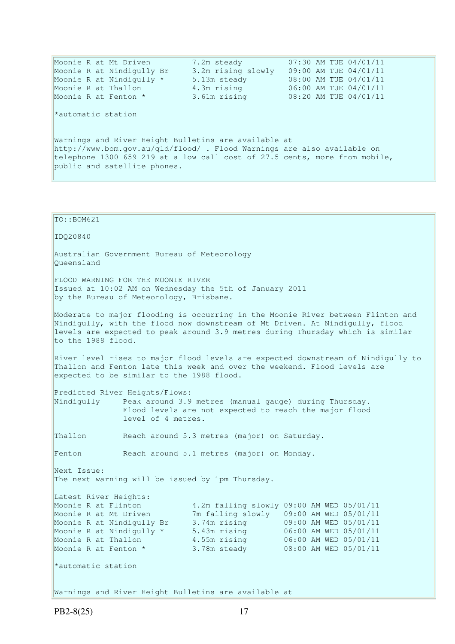| Moonie R at Mt Driven                                                      | 7.2m steady        | 07:30 AM TUE 04/01/11 |  |  |
|----------------------------------------------------------------------------|--------------------|-----------------------|--|--|
| Moonie R at Nindigully Br                                                  | 3.2m rising slowly | 09:00 AM TUE 04/01/11 |  |  |
| Moonie R at Nindigully *                                                   | 5.13m steady       | 08:00 AM TUE 04/01/11 |  |  |
| Moonie R at Thallon                                                        | 4.3m rising        | 06:00 AM TUE 04/01/11 |  |  |
| Moonie R at Fenton *                                                       | 3.61m rising       | 08:20 AM TUE 04/01/11 |  |  |
| *automatic station                                                         |                    |                       |  |  |
| Warnings and River Height Bulletins are available at                       |                    |                       |  |  |
| http://www.bom.gov.au/gld/flood/ . Flood Warnings are also available on    |                    |                       |  |  |
| telephone 1300 659 219 at a low call cost of 27.5 cents, more from mobile, |                    |                       |  |  |
| public and satellite phones.                                               |                    |                       |  |  |
|                                                                            |                    |                       |  |  |

TO::BOM621 IDQ20840 Australian Government Bureau of Meteorology Queensland FLOOD WARNING FOR THE MOONIE RIVER Issued at 10:02 AM on Wednesday the 5th of January 2011 by the Bureau of Meteorology, Brisbane. Moderate to major flooding is occurring in the Moonie River between Flinton and Nindigully, with the flood now downstream of Mt Driven. At Nindigully, flood levels are expected to peak around 3.9 metres during Thursday which is similar to the 1988 flood. River level rises to major flood levels are expected downstream of Nindigully to Thallon and Fenton late this week and over the weekend. Flood levels are expected to be similar to the 1988 flood. Predicted River Heights/Flows: Nindigully Peak around 3.9 metres (manual gauge) during Thursday. Flood levels are not expected to reach the major flood level of 4 metres. Thallon Reach around 5.3 metres (major) on Saturday. Fenton Reach around 5.1 metres (major) on Monday. Next Issue: The next warning will be issued by 1pm Thursday. Latest River Heights: Moonie R at Flinton 4.2m falling slowly 09:00 AM WED 05/01/11 Moonie R at Mt Driven 7m falling slowly 09:00 AM WED 05/01/11 Moonie R at Nindigully Br 3.74m rising 09:00 AM WED 05/01/11 Moonie R at Nindigully \* 5.43m rising 06:00 AM WED 05/01/11 Moonie R at Thallon 4.55m rising 06:00 AM WED 05/01/11 Moonie R at Fenton \* 3.78m steady 08:00 AM WED 05/01/11 \*automatic station Warnings and River Height Bulletins are available at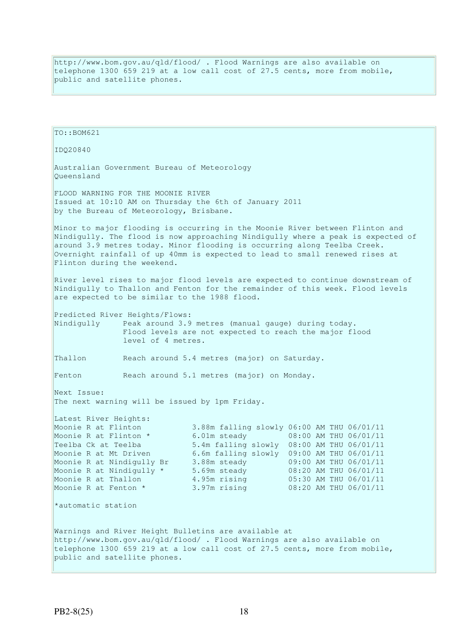http://www.bom.gov.au/qld/flood/ . Flood Warnings are also available on telephone 1300 659 219 at a low call cost of 27.5 cents, more from mobile, public and satellite phones.

 $TO: BOM621$ IDQ20840 Australian Government Bureau of Meteorology Queensland FLOOD WARNING FOR THE MOONIE RIVER Issued at 10:10 AM on Thursday the 6th of January 2011 by the Bureau of Meteorology, Brisbane. Minor to major flooding is occurring in the Moonie River between Flinton and Nindigully. The flood is now approaching Nindigully where a peak is expected of around 3.9 metres today. Minor flooding is occurring along Teelba Creek. Overnight rainfall of up 40mm is expected to lead to small renewed rises at Flinton during the weekend. River level rises to major flood levels are expected to continue downstream of Nindigully to Thallon and Fenton for the remainder of this week. Flood levels are expected to be similar to the 1988 flood. Predicted River Heights/Flows: Nindigully Peak around 3.9 metres (manual gauge) during today. Flood levels are not expected to reach the major flood level of 4 metres. Thallon Reach around 5.4 metres (major) on Saturday. Fenton Reach around 5.1 metres (major) on Monday. Next Issue: The next warning will be issued by 1pm Friday. Latest River Heights: Moonie R at Flinton 3.88m falling slowly 06:00 AM THU 06/01/11 Moonie R at Flinton \* 6.01m steady 08:00 AM THU 06/01/11 Teelba Ck at Teelba 5.4m falling slowly 08:00 AM THU 06/01/11<br>Moonie R at Mt Driven 6.6m falling slowly 09:00 AM THU 06/01/11 6.6m falling slowly 09:00 AM THU 06/01/11 Moonie R at Nindigully Br 3.88m steady 09:00 AM THU 06/01/11 Moonie R at Nindigully \* 5.69m steady 08:20 AM THU 06/01/11 Moonie R at Thallon 4.95m rising 05:30 AM THU 06/01/11 Moonie R at Fenton \* 3.97m rising 08:20 AM THU 06/01/11 \*automatic station Warnings and River Height Bulletins are available at http://www.bom.gov.au/qld/flood/ . Flood Warnings are also available on telephone 1300 659 219 at a low call cost of 27.5 cents, more from mobile, public and satellite phones.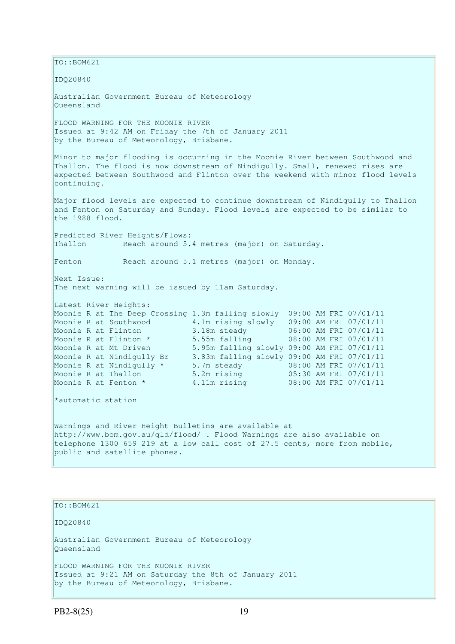TO::BOM621 IDQ20840 Australian Government Bureau of Meteorology Queensland FLOOD WARNING FOR THE MOONIE RIVER Issued at 9:42 AM on Friday the 7th of January 2011 by the Bureau of Meteorology, Brisbane. Minor to major flooding is occurring in the Moonie River between Southwood and Thallon. The flood is now downstream of Nindigully. Small, renewed rises are expected between Southwood and Flinton over the weekend with minor flood levels continuing. Major flood levels are expected to continue downstream of Nindigully to Thallon and Fenton on Saturday and Sunday. Flood levels are expected to be similar to the 1988 flood. Predicted River Heights/Flows: Thallon Reach around 5.4 metres (major) on Saturday. Fenton Reach around 5.1 metres (major) on Monday. Next Issue: The next warning will be issued by 11am Saturday. Latest River Heights: Moonie R at The Deep Crossing 1.3m falling slowly 09:00 AM FRI 07/01/11 Moonie R at Southwood 4.1m rising slowly 09:00 AM FRI 07/01/11 Moonie R at Flinton 3.18m steady 06:00 AM FRI 07/01/11 Moonie R at Flinton \* 5.55m falling 08:00 AM FRI 07/01/11 Moonie R at Mt Driven 5.95m falling slowly 09:00 AM FRI 07/01/11 Moonie R at Nindigully Br 3.83m falling slowly 09:00 AM FRI 07/01/11 Moonie R at Nindigully \* 5.7m steady 08:00 AM FRI 07/01/11 Moonie R at Thallon 5.2m rising 05:30 AM FRI 07/01/11 Moonie R at Fenton \* 4.11m rising 08:00 AM FRI 07/01/11 \*automatic station Warnings and River Height Bulletins are available at http://www.bom.gov.au/qld/flood/ . Flood Warnings are also available on telephone 1300 659 219 at a low call cost of 27.5 cents, more from mobile, public and satellite phones.

TO::BOM621 IDQ20840 Australian Government Bureau of Meteorology Queensland FLOOD WARNING FOR THE MOONIE RIVER Issued at 9:21 AM on Saturday the 8th of January 2011 by the Bureau of Meteorology, Brisbane.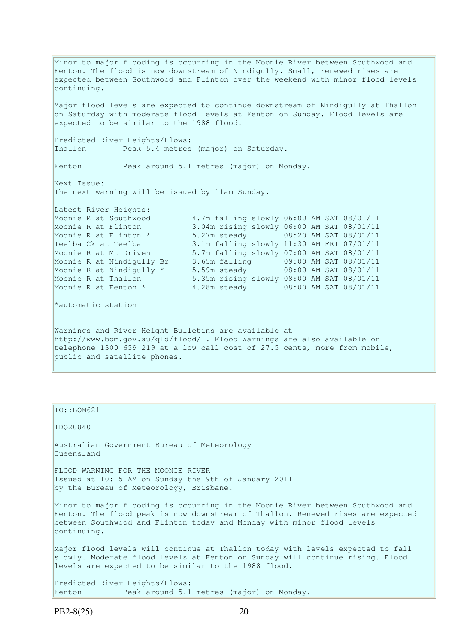Minor to major flooding is occurring in the Moonie River between Southwood and Fenton. The flood is now downstream of Nindigully. Small, renewed rises are expected between Southwood and Flinton over the weekend with minor flood levels continuing. Major flood levels are expected to continue downstream of Nindigully at Thallon  $\vert$ on Saturday with moderate flood levels at Fenton on Sunday. Flood levels are expected to be similar to the 1988 flood. Predicted River Heights/Flows: Thallon Peak 5.4 metres (major) on Saturday. Fenton Peak around 5.1 metres (major) on Monday. Next Issue: The next warning will be issued by 11am Sunday. Latest River Heights: Moonie R at Southwood 4.7m falling slowly 06:00 AM SAT 08/01/11<br>Moonie R at Flinton 3.04m rising slowly 06:00 AM SAT 08/01/11 3.04m rising slowly 06:00 AM SAT 08/01/11 Moonie R at Flinton \* 5.27m steady 08:20 AM SAT 08/01/11<br>Teelba Ck at Teelba 3.1m falling slowly 11:30 AM FRI 07/01/11 Teelba Ck at Teelba 3.1m falling slowly 11:30 AM FRI 07/01/11 Moonie R at Mt Driven 5.7m falling slowly 07:00 AM SAT 08/01/11 Moonie R at Nindigully Br 3.65m falling 09:00 AM SAT 08/01/11 Moonie R at Nindigully \* 5.59m steady 08:00 AM SAT 08/01/11 Moonie R at Thallon 5.35m rising slowly 08:00 AM SAT 08/01/11 Moonie R at Fenton \* 4.28m steady 08:00 AM SAT 08/01/11 \*automatic station Warnings and River Height Bulletins are available at http://www.bom.gov.au/qld/flood/ . Flood Warnings are also available on telephone 1300 659 219 at a low call cost of 27.5 cents, more from mobile, public and satellite phones.

TO::BOM621 IDQ20840 Australian Government Bureau of Meteorology Queensland FLOOD WARNING FOR THE MOONIE RIVER Issued at 10:15 AM on Sunday the 9th of January 2011 by the Bureau of Meteorology, Brisbane. Minor to major flooding is occurring in the Moonie River between Southwood and Fenton. The flood peak is now downstream of Thallon. Renewed rises are expected between Southwood and Flinton today and Monday with minor flood levels continuing. Major flood levels will continue at Thallon today with levels expected to fall slowly. Moderate flood levels at Fenton on Sunday will continue rising. Flood levels are expected to be similar to the 1988 flood. Predicted River Heights/Flows: Fenton Peak around 5.1 metres (major) on Monday.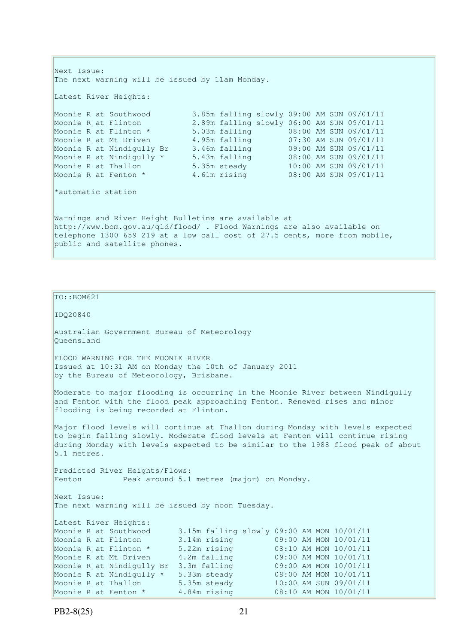```
Next Issue: 
The next warning will be issued by 11am Monday. 
Latest River Heights:
Moonie R at Southwood 3.85m falling slowly 09:00 AM SUN 09/01/11 
Moonie R at Flinton 2.89m falling slowly 06:00 AM SUN 09/01/11 
Moonie R at Flinton * 5.03m falling 08:00 AM SUN 09/01/11 
Moonie R at Mt Driven 4.95m falling 07:30 AM SUN 09/01/11 
Moonie R at Nindigully Br 3.46m falling 09:00 AM SUN 09/01/11 
Moonie R at Nindigully * 5.43m falling 08:00 AM SUN 09/01/11 
Moonie R at Thallon 5.35m steady 10:00 AM SUN 09/01/11 
Moonie R at Fenton * 4.61m rising 08:00 AM SUN 09/01/11 
*automatic station 
Warnings and River Height Bulletins are available at 
http://www.bom.gov.au/qld/flood/ . Flood Warnings are also available on 
telephone 1300 659 219 at a low call cost of 27.5 cents, more from mobile, 
public and satellite phones.
```

```
TO::BOM621 
IDQ20840 
Australian Government Bureau of Meteorology 
Queensland 
FLOOD WARNING FOR THE MOONIE RIVER 
Issued at 10:31 AM on Monday the 10th of January 2011 
by the Bureau of Meteorology, Brisbane.
Moderate to major flooding is occurring in the Moonie River between Nindigully 
and Fenton with the flood peak approaching Fenton. Renewed rises and minor 
flooding is being recorded at Flinton. 
Major flood levels will continue at Thallon during Monday with levels expected 
to begin falling slowly. Moderate flood levels at Fenton will continue rising 
during Monday with levels expected to be similar to the 1988 flood peak of about 
5.1 metres. 
Predicted River Heights/Flows: 
Fenton Peak around 5.1 metres (major) on Monday.
Next Issue: 
The next warning will be issued by noon Tuesday. 
Latest River Heights: 
                        3.15m falling slowly 09:00 AM MON 10/01/11
Moonie R at Flinton 3.14m rising 09:00 AM MON 10/01/11 
Moonie R at Flinton * 5.22m rising 08:10 AM MON 10/01/11 
Moonie R at Mt Driven 4.2m falling 09:00 AM MON 10/01/11 
Moonie R at Nindigully Br 3.3m falling 09:00 AM MON 10/01/11 
Moonie R at Nindigully * 5.33m steady 08:00 AM MON 10/01/11 
Moonie R at Thallon 5.35m steady 10:00 AM SUN 09/01/11 
Moonie R at Fenton * 4.84m rising 08:10 AM MON 10/01/11
```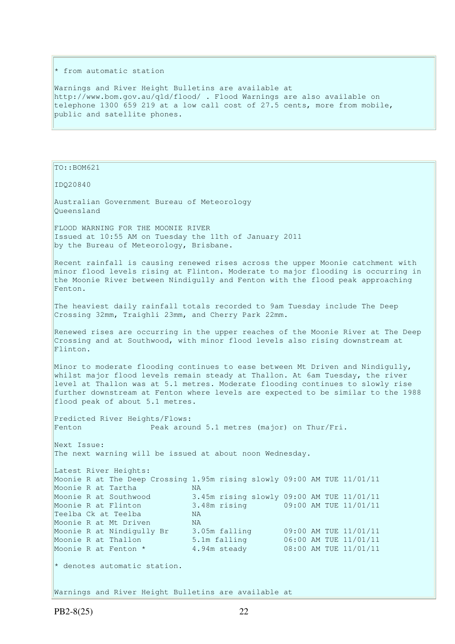#### \* from automatic station

Warnings and River Height Bulletins are available at http://www.bom.gov.au/qld/flood/ . Flood Warnings are also available on telephone 1300 659 219 at a low call cost of 27.5 cents, more from mobile, public and satellite phones.

TO::BOM621

IDQ20840

Australian Government Bureau of Meteorology Queensland

FLOOD WARNING FOR THE MOONIE RIVER Issued at 10:55 AM on Tuesday the 11th of January 2011 by the Bureau of Meteorology, Brisbane.

Recent rainfall is causing renewed rises across the upper Moonie catchment with minor flood levels rising at Flinton. Moderate to major flooding is occurring in the Moonie River between Nindigully and Fenton with the flood peak approaching Fenton.

The heaviest daily rainfall totals recorded to 9am Tuesday include The Deep Crossing 32mm, Traighli 23mm, and Cherry Park 22mm.

Renewed rises are occurring in the upper reaches of the Moonie River at The Deep Crossing and at Southwood, with minor flood levels also rising downstream at Flinton.

Minor to moderate flooding continues to ease between Mt Driven and Nindigully, whilst major flood levels remain steady at Thallon. At 6am Tuesday, the river level at Thallon was at 5.1 metres. Moderate flooding continues to slowly rise further downstream at Fenton where levels are expected to be similar to the 1988 flood peak of about 5.1 metres.

Predicted River Heights/Flows: Fenton Peak around 5.1 metres (major) on Thur/Fri.

Next Issue: The next warning will be issued at about noon Wednesday.

Latest River Heights: Moonie R at The Deep Crossing 1.95m rising slowly 09:00 AM TUE 11/01/11 Moonie R at Tartha MA Moonie R at Southwood 3.45m rising slowly 09:00 AM TUE 11/01/11 Moonie R at Flinton 3.48m rising 09:00 AM TUE 11/01/11<br>Teelba Ck at Teelba NA Teelba Ck at Teelba Moonie R at Mt Driven NA Moonie R at Nindigully Br 3.05m falling 09:00 AM TUE 11/01/11 Moonie R at Thallon 5.1m falling 06:00 AM TUE 11/01/11 Moonie R at Fenton \* 4.94m steady 08:00 AM TUE 11/01/11 \* denotes automatic station.

Warnings and River Height Bulletins are available at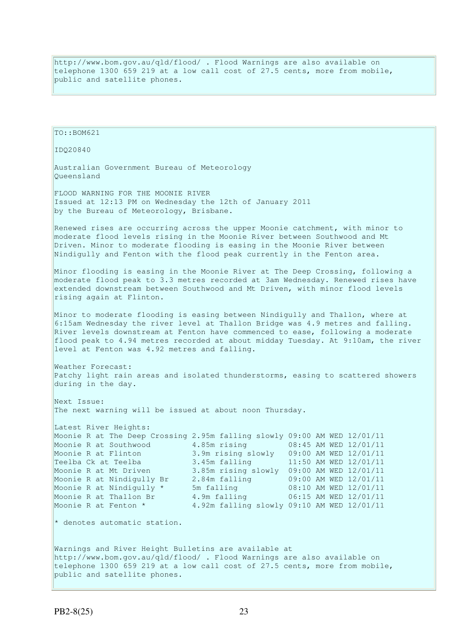http://www.bom.gov.au/qld/flood/ . Flood Warnings are also available on telephone 1300 659 219 at a low call cost of 27.5 cents, more from mobile, public and satellite phones.

IDQ20840 Australian Government Bureau of Meteorology Queensland FLOOD WARNING FOR THE MOONIE RIVER Issued at 12:13 PM on Wednesday the 12th of January 2011 by the Bureau of Meteorology, Brisbane. Renewed rises are occurring across the upper Moonie catchment, with minor to moderate flood levels rising in the Moonie River between Southwood and Mt Driven. Minor to moderate flooding is easing in the Moonie River between Nindigully and Fenton with the flood peak currently in the Fenton area. Minor flooding is easing in the Moonie River at The Deep Crossing, following a moderate flood peak to 3.3 metres recorded at 3am Wednesday. Renewed rises have extended downstream between Southwood and Mt Driven, with minor flood levels rising again at Flinton. Minor to moderate flooding is easing between Nindigully and Thallon, where at 6:15am Wednesday the river level at Thallon Bridge was 4.9 metres and falling. River levels downstream at Fenton have commenced to ease, following a moderate flood peak to 4.94 metres recorded at about midday Tuesday. At 9:10am, the river level at Fenton was 4.92 metres and falling. Weather Forecast: Patchy light rain areas and isolated thunderstorms, easing to scattered showers during in the day. Next Issue: The next warning will be issued at about noon Thursday. Latest River Heights: Moonie R at The Deep Crossing 2.95m falling slowly 09:00 AM WED 12/01/11 Moonie R at Southwood 4.85m rising 08:45 AM WED 12/01/11 Moonie R at Flinton 3.9m rising slowly 09:00 AM WED 12/01/11 Teelba Ck at Teelba 3.45m falling 11:50 AM WED 12/01/11<br>Moonie R at Mt Driven 3.85m rising slowly 09:00 AM WED 12/01/11 3.85m rising slowly 09:00 AM WED 12/01/11<br>2.84m falling 09:00 AM WED 12/01/11 Moonie R at Nindigully Br 2.84m falling 09:00 AM WED 12/01/11 Moonie R at Nindigully \* 5m falling 08:10 AM WED 12/01/11 Moonie R at Thallon Br 4.9m falling 06:15 AM WED 12/01/11 Moonie R at Fenton \* 4.92m falling slowly 09:10 AM WED 12/01/11 \* denotes automatic station. Warnings and River Height Bulletins are available at http://www.bom.gov.au/qld/flood/ . Flood Warnings are also available on telephone 1300 659 219 at a low call cost of 27.5 cents, more from mobile, public and satellite phones.

 $TO: BOM621$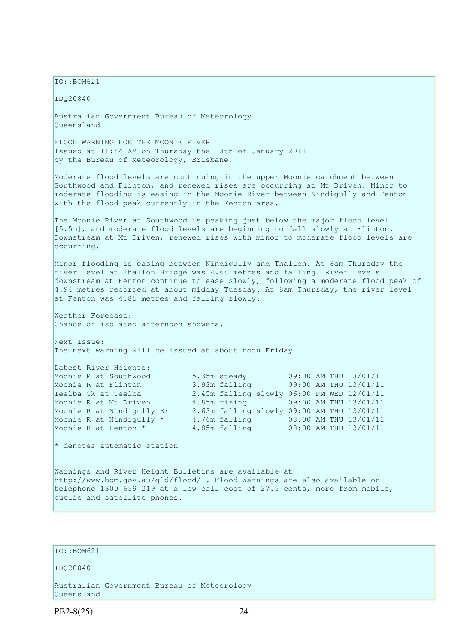$TO: **ROM621**$ 

IDQ20840 Australian Government Bureau of Meteorology Queensland FLOOD WARNING FOR THE MOONIE RIVER Issued at 11:44 AM on Thursday the 13th of January 2011 by the Bureau of Meteorology, Brisbane. Moderate flood levels are continuing in the upper Moonie catchment between Southwood and Flinton, and renewed rises are occurring at Mt Driven. Minor to moderate flooding is easing in the Moonie River between Nindigully and Fenton with the flood peak currently in the Fenton area. The Moonie River at Southwood is peaking just below the major flood level [5.5m], and moderate flood levels are beginning to fall slowly at Flinton. Downstream at Mt Driven, renewed rises with minor to moderate flood levels are occurring. Minor flooding is easing between Nindigully and Thallon. At 8am Thursday the river level at Thallon Bridge was 4.68 metres and falling. River levels downstream at Fenton continue to ease slowly, following a moderate flood peak of 4.94 metres recorded at about midday Tuesday. At 8am Thursday, the river level at Fenton was 4.85 metres and falling slowly. Weather Forecast: Chance of isolated afternoon showers. Next Issue: The next warning will be issued at about noon Friday. Latest River Heights: Moonie R at Southwood 5.35m steady 09:00 AM THU 13/01/11 Moonie R at Flinton 3.93m falling 09:00 AM THU 13/01/11 Teelba Ck at Teelba 2.45m falling slowly 06:00 PM WED 12/01/11<br>Moonie R at Mt Driven 4.85m rising 09:00 AM THU 13/01/11 Moonie R at Mt Driven 4.85m rising 09:00 AM THU 13/01/11 Moonie R at Nindigully Br 2.63m falling slowly 09:00 AM THU 13/01/11 Moonie R at Nindigully \* 4.76m falling 08:00 AM THU 13/01/11 Moonie R at Fenton \* 4.85m falling 08:00 AM THU 13/01/11 \* denotes automatic station Warnings and River Height Bulletins are available at http://www.bom.gov.au/qld/flood/ . Flood Warnings are also available on

#### $TO: **ROM621**$

public and satellite phones.

IDQ20840

Australian Government Bureau of Meteorology Queensland

PB2-8(25) 24

telephone 1300 659 219 at a low call cost of 27.5 cents, more from mobile,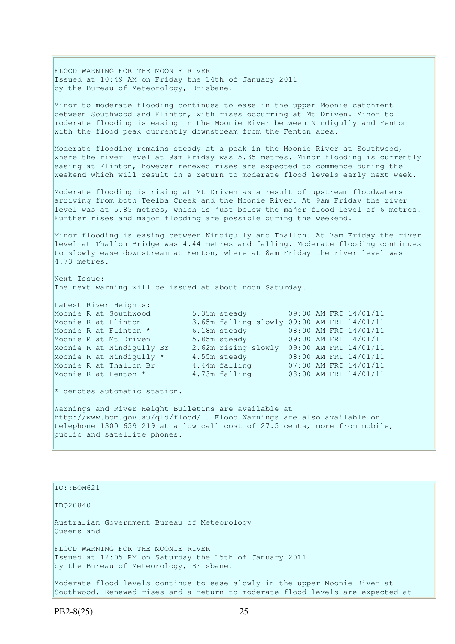FLOOD WARNING FOR THE MOONIE RIVER Issued at 10:49 AM on Friday the 14th of January 2011 by the Bureau of Meteorology, Brisbane.

Minor to moderate flooding continues to ease in the upper Moonie catchment between Southwood and Flinton, with rises occurring at Mt Driven. Minor to moderate flooding is easing in the Moonie River between Nindigully and Fenton with the flood peak currently downstream from the Fenton area.

Moderate flooding remains steady at a peak in the Moonie River at Southwood, where the river level at 9am Friday was 5.35 metres. Minor flooding is currently easing at Flinton, however renewed rises are expected to commence during the weekend which will result in a return to moderate flood levels early next week.

Moderate flooding is rising at Mt Driven as a result of upstream floodwaters arriving from both Teelba Creek and the Moonie River. At 9am Friday the river level was at 5.85 metres, which is just below the major flood level of 6 metres. Further rises and major flooding are possible during the weekend.

Minor flooding is easing between Nindigully and Thallon. At 7am Friday the river level at Thallon Bridge was 4.44 metres and falling. Moderate flooding continues to slowly ease downstream at Fenton, where at 8am Friday the river level was 4.73 metres.

Next Issue: The next warning will be issued at about noon Saturday.

Latest River Heights: Moonie R at Southwood 5.35m steady 09:00 AM FRI 14/01/11 Moonie R at Flinton 3.65m falling slowly 09:00 AM FRI 14/01/11<br>
Moonie R at Flinton \* 6.18m steady 08:00 AM FRI 14/01/11<br>
Moonie R at Mt Driven 5.85m steady 09:00 AM FRI 14/01/11 Moonie R at Flinton \* 6.18m steady 08:00 AM FRI 14/01/11 Moonie R at Mt Driven 5.85m steady 09:00 AM FRI 14/01/11 Moonie R at Nindigully Br 2.62m rising slowly 09:00 AM FRI 14/01/11 Moonie R at Nindigully \* 4.55m steady 08:00 AM FRI 14/01/11 Moonie R at Thallon Br 4.44m falling 07:00 AM FRI 14/01/11 Moonie R at Fenton \* 4.73m falling 08:00 AM FRI 14/01/11

\* denotes automatic station.

Warnings and River Height Bulletins are available at http://www.bom.gov.au/qld/flood/ . Flood Warnings are also available on telephone 1300 659 219 at a low call cost of 27.5 cents, more from mobile, public and satellite phones.

TO::BOM621

IDQ20840

Australian Government Bureau of Meteorology Queensland FLOOD WARNING FOR THE MOONIE RIVER

Issued at 12:05 PM on Saturday the 15th of January 2011 by the Bureau of Meteorology, Brisbane.

Moderate flood levels continue to ease slowly in the upper Moonie River at Southwood. Renewed rises and a return to moderate flood levels are expected at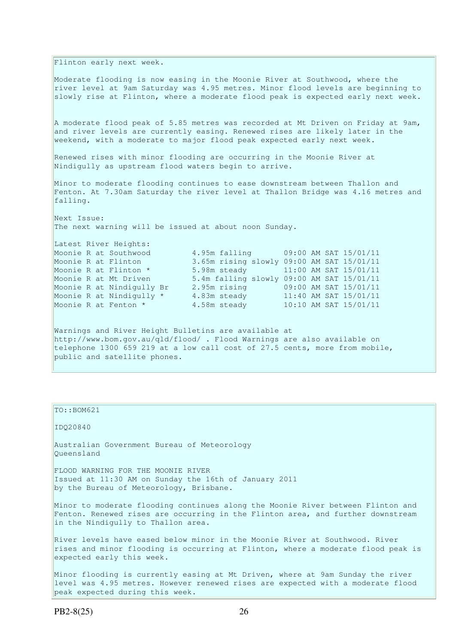Flinton early next week.

Moderate flooding is now easing in the Moonie River at Southwood, where the river level at 9am Saturday was 4.95 metres. Minor flood levels are beginning to slowly rise at Flinton, where a moderate flood peak is expected early next week.

A moderate flood peak of 5.85 metres was recorded at Mt Driven on Friday at 9am, and river levels are currently easing. Renewed rises are likely later in the weekend, with a moderate to major flood peak expected early next week.

Renewed rises with minor flooding are occurring in the Moonie River at Nindigully as upstream flood waters begin to arrive.

Minor to moderate flooding continues to ease downstream between Thallon and Fenton. At 7.30am Saturday the river level at Thallon Bridge was 4.16 metres and falling.

Next Issue: The next warning will be issued at about noon Sunday.

Latest River Heights:

Moonie R at Southwood 4.95m falling 09:00 AM SAT 15/01/11 Moonie R at Flinton 3.65m rising slowly 09:00 AM SAT 15/01/11 Moonie R at Flinton \* 5.98m steady 11:00 AM SAT 15/01/11 Moonie R at Mt Driven 5.4m falling slowly 09:00 AM SAT 15/01/11 Moonie R at Nindigully Br 2.95m rising 09:00 AM SAT 15/01/11 Moonie R at Nindigully  $\star$  4.83m steady 11:40 AM SAT 15/01/11 Moonie R at Fenton \* 4.58m steady 10:10 AM SAT 15/01/11

Warnings and River Height Bulletins are available at http://www.bom.gov.au/qld/flood/ . Flood Warnings are also available on telephone 1300 659 219 at a low call cost of 27.5 cents, more from mobile, public and satellite phones.

TO::BOM621

IDQ20840

Australian Government Bureau of Meteorology Queensland

FLOOD WARNING FOR THE MOONIE RIVER Issued at 11:30 AM on Sunday the 16th of January 2011 by the Bureau of Meteorology, Brisbane.

Minor to moderate flooding continues along the Moonie River between Flinton and Fenton. Renewed rises are occurring in the Flinton area, and further downstream in the Nindigully to Thallon area.

River levels have eased below minor in the Moonie River at Southwood. River rises and minor flooding is occurring at Flinton, where a moderate flood peak is expected early this week.

Minor flooding is currently easing at Mt Driven, where at 9am Sunday the river level was 4.95 metres. However renewed rises are expected with a moderate flood peak expected during this week.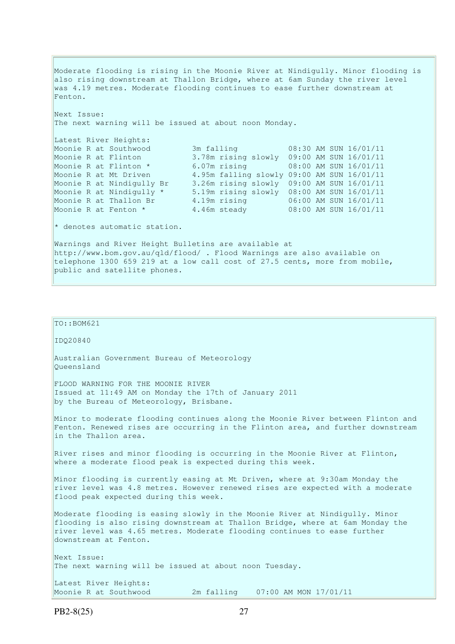Moderate flooding is rising in the Moonie River at Nindigully. Minor flooding is also rising downstream at Thallon Bridge, where at 6am Sunday the river level was 4.19 metres. Moderate flooding continues to ease further downstream at Fenton. Next Issue: The next warning will be issued at about noon Monday. Latest River Heights: Moonie R at Southwood 3m falling 08:30 AM SUN 16/01/11<br>Moonie R at Flinton 3.78m rising slowly 09:00 AM SUN 16/01/11 Moonie R at Flinton 3.78m rising slowly 09:00 AM SUN 16/01/11 Moonie R at Flinton \* 6.07m rising 08:00 AM SUN 16/01/11 Moonie R at Mt Driven 4.95m falling slowly 09:00 AM SUN 16/01/11 Moonie R at Nindigully Br 3.26m rising slowly 09:00 AM SUN 16/01/11 Moonie R at Nindigully \* 5.19m rising slowly 08:00 AM SUN 16/01/11 Moonie R at Thallon Br 4.19m rising 06:00 AM SUN 16/01/11 Moonie R at Fenton \* 4.46m steady 08:00 AM SUN 16/01/11  $\star$  denotes automatic station. Warnings and River Height Bulletins are available at http://www.bom.gov.au/qld/flood/ . Flood Warnings are also available on telephone 1300 659 219 at a low call cost of 27.5 cents, more from mobile, public and satellite phones.

```
TO::BOM621
IDQ20840 
Australian Government Bureau of Meteorology 
Queensland 
FLOOD WARNING FOR THE MOONIE RIVER 
Issued at 11:49 AM on Monday the 17th of January 2011 
by the Bureau of Meteorology, Brisbane.
Minor to moderate flooding continues along the Moonie River between Flinton and 
Fenton. Renewed rises are occurring in the Flinton area, and further downstream 
in the Thallon area. 
River rises and minor flooding is occurring in the Moonie River at Flinton, 
where a moderate flood peak is expected during this week. 
Minor flooding is currently easing at Mt Driven, where at 9:30am Monday the 
river level was 4.8 metres. However renewed rises are expected with a moderate
flood peak expected during this week. 
Moderate flooding is easing slowly in the Moonie River at Nindigully. Minor 
flooding is also rising downstream at Thallon Bridge, where at 6am Monday the 
river level was 4.65 metres. Moderate flooding continues to ease further 
downstream at Fenton. 
Next Issue: 
The next warning will be issued at about noon Tuesday.
Latest River Heights: 
Moonie R at Southwood 2m falling 07:00 AM MON 17/01/11
```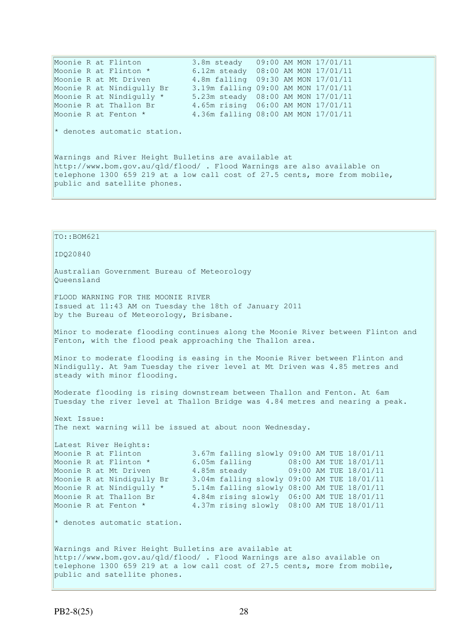Moonie R at Flinton 3.8m steady 09:00 AM MON 17/01/11 Moonie R at Flinton \* 6.12m steady 08:00 AM MON 17/01/11 Moonie R at Mt Driven 4.8m falling 09:30 AM MON 17/01/11 Moonie R at Nindigully Br 3.19m falling 09:00 AM MON 17/01/11 Moonie R at Nindigully \* 5.23m steady 08:00 AM MON 17/01/11 Moonie R at Thallon Br 4.65m rising 06:00 AM MON 17/01/11 Moonie R at Fenton \* 4.36m falling 08:00 AM MON 17/01/11  $*$  denotes automatic station. Warnings and River Height Bulletins are available at http://www.bom.gov.au/qld/flood/ . Flood Warnings are also available on telephone 1300 659 219 at a low call cost of 27.5 cents, more from mobile, public and satellite phones.

TO::BOM621 IDQ20840 Australian Government Bureau of Meteorology Queensland FLOOD WARNING FOR THE MOONIE RIVER Issued at 11:43 AM on Tuesday the 18th of January 2011 by the Bureau of Meteorology, Brisbane. Minor to moderate flooding continues along the Moonie River between Flinton and Fenton, with the flood peak approaching the Thallon area. Minor to moderate flooding is easing in the Moonie River between Flinton and Nindigully. At 9am Tuesday the river level at Mt Driven was 4.85 metres and steady with minor flooding. Moderate flooding is rising downstream between Thallon and Fenton. At 6am Tuesday the river level at Thallon Bridge was 4.84 metres and nearing a peak. Next Issue: The next warning will be issued at about noon Wednesday. Latest River Heights: Moonie R at Flinton 3.67m falling slowly 09:00 AM TUE 18/01/11<br>
Moonie R at Mt Driven 4.85m steady 09:00 AM TUE 18/01/11<br>
Moonie R at Nindiaully Br 3.04m 6.11: Moonie R at Flinton \* 6.05m falling 08:00 AM TUE 18/01/11 Moonie R at Mt Driven 4.85m steady 09:00 AM TUE 18/01/11 Moonie R at Nindigully Br 3.04m falling slowly 09:00 AM TUE 18/01/11 Moonie R at Nindigully \* 5.14m falling slowly 08:00 AM TUE 18/01/11 Moonie R at Thallon Br 4.84m rising slowly 06:00 AM TUE 18/01/11 Moonie R at Fenton \* 4.37m rising slowly 08:00 AM TUE 18/01/11  $\star$  denotes automatic station. Warnings and River Height Bulletins are available at http://www.bom.gov.au/qld/flood/ . Flood Warnings are also available on telephone 1300 659 219 at a low call cost of 27.5 cents, more from mobile, public and satellite phones.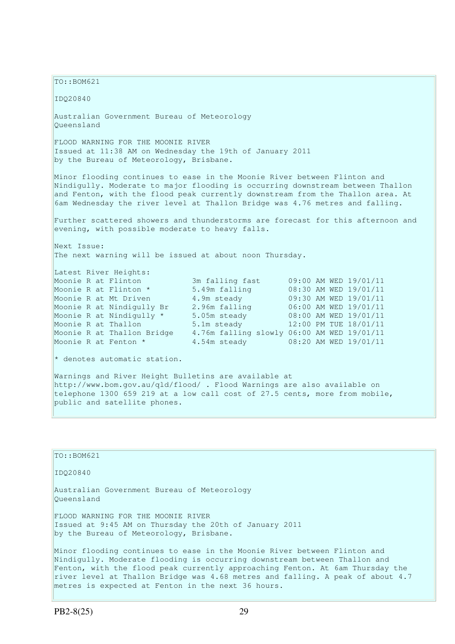$TO: **ROM621**$ 

IDQ20840

Australian Government Bureau of Meteorology Queensland

FLOOD WARNING FOR THE MOONIE RIVER Issued at 11:38 AM on Wednesday the 19th of January 2011 by the Bureau of Meteorology, Brisbane.

Minor flooding continues to ease in the Moonie River between Flinton and Nindigully. Moderate to major flooding is occurring downstream between Thallon and Fenton, with the flood peak currently downstream from the Thallon area. At 6am Wednesday the river level at Thallon Bridge was 4.76 metres and falling.

Further scattered showers and thunderstorms are forecast for this afternoon and evening, with possible moderate to heavy falls.

Next Issue: The next warning will be issued at about noon Thursday.

metres is expected at Fenton in the next 36 hours.

Latest River Heights:

Moonie R at Flinton 3m falling fast 09:00 AM WED 19/01/11 Moonie R at Flinton \* 5.49m falling 08:30 AM WED 19/01/11 Moonie R at Mt Driven 2.9m steady 09:30 AM WED 19/01/11<br>Moonie R at Nindigully Br 2.96m falling 06:00 AM WED 19/01/11 Moonie R at Nindigully Br 2.96m falling 06:00 AM WED 19/01/11<br>
Moonie R at Nindigully \* 5.05m steady 08:00 AM WED 19/01/11<br>
Moonie R at Thallon 5.1m steady 12:00 PM TUE 18/01/11 Moonie R at Nindigully B1 2.20 Extends of 08:00 AM WED 19/01/11<br>Moonie R at Nindigully \* 5.05m steady 08:00 AM WED 19/01/11 Moonie R at Thallon 5.1m steady 12:00 PM TUE 18/01/11 Moonie R at Thallon Bridge 4.76m falling slowly 06:00 AM WED 19/01/11 Moonie R at Fenton \* 4.54m steady 08:20 AM WED 19/01/11

\* denotes automatic station.

Warnings and River Height Bulletins are available at http://www.bom.gov.au/qld/flood/ . Flood Warnings are also available on telephone 1300 659 219 at a low call cost of 27.5 cents, more from mobile, public and satellite phones.

| $TO: BOM621$                                                                                                                                                                                                                                                                                                             |
|--------------------------------------------------------------------------------------------------------------------------------------------------------------------------------------------------------------------------------------------------------------------------------------------------------------------------|
| ID020840                                                                                                                                                                                                                                                                                                                 |
| Australian Government Bureau of Meteorology<br>Oueensland                                                                                                                                                                                                                                                                |
| FLOOD WARNING FOR THE MOONIE RIVER<br>Issued at 9:45 AM on Thursday the 20th of January 2011<br>by the Bureau of Meteorology, Brisbane.                                                                                                                                                                                  |
| Minor flooding continues to ease in the Moonie River between Flinton and<br>Nindigully. Moderate flooding is occurring downstream between Thallon and<br>Fenton, with the flood peak currently approaching Fenton. At 6am Thursday the<br>river level at Thallon Bridge was 4.68 metres and falling. A peak of about 4.7 |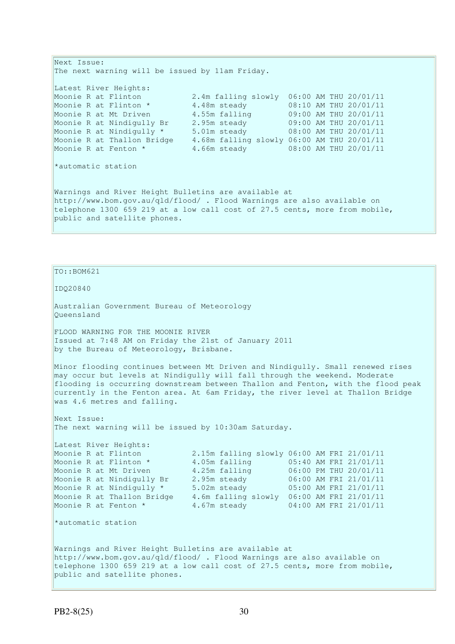Next Issue: The next warning will be issued by 11am Friday. Latest River Heights: Moonie R at Flinton 2.4m falling slowly 06:00 AM THU 20/01/11 Moonie R at Flinton \* 4.48m steady 08:10 AM THU 20/01/11 Moonie R at Mt Driven 4.55m falling 09:00 AM THU 20/01/11 Moonie R at Nindigully Br 2.95m steady 09:00 AM THU 20/01/11 Moonie R at Nindigully \* 5.01m steady 08:00 AM THU 20/01/11 Moonie R at Thallon Bridge 4.68m falling slowly 06:00 AM THU 20/01/11 Moonie R at Fenton \* 4.66m steady 08:00 AM THU 20/01/11 \*automatic station Warnings and River Height Bulletins are available at http://www.bom.gov.au/qld/flood/ . Flood Warnings are also available on telephone 1300 659 219 at a low call cost of 27.5 cents, more from mobile, public and satellite phones.

 $TO::BOM621$ 

IDQ20840

Australian Government Bureau of Meteorology Queensland

FLOOD WARNING FOR THE MOONIE RIVER Issued at 7:48 AM on Friday the 21st of January 2011 by the Bureau of Meteorology, Brisbane.

Minor flooding continues between Mt Driven and Nindigully. Small renewed rises may occur but levels at Nindigully will fall through the weekend. Moderate flooding is occurring downstream between Thallon and Fenton, with the flood peak currently in the Fenton area. At 6am Friday, the river level at Thallon Bridge was 4.6 metres and falling.

Next Issue: The next warning will be issued by 10:30am Saturday.

Latest River Heights: Moonie R at Thallon Bridge 4.6m falling slowly 06:00 AM FRI 21/01/11 Moonie R at Fenton \* 4.67m steady 04:00 AM FRI 21/01/11

Moonie R at Flinton 2.15m falling slowly 06:00 AM FRI 21/01/11 Moonie R at Flinton \* 4.05m falling 05:40 AM FRI 21/01/11 Moonie R at Mt Driven 4.25m falling 06:00 PM THU 20/01/11 Moonie R at Nindigully Br 2.95m steady 06:00 AM FRI 21/01/11 Moonie R at Nindigully \* 5.02m steady 05:00 AM FRI 21/01/11

\*automatic station

Warnings and River Height Bulletins are available at http://www.bom.gov.au/qld/flood/ . Flood Warnings are also available on telephone 1300 659 219 at a low call cost of 27.5 cents, more from mobile, public and satellite phones.